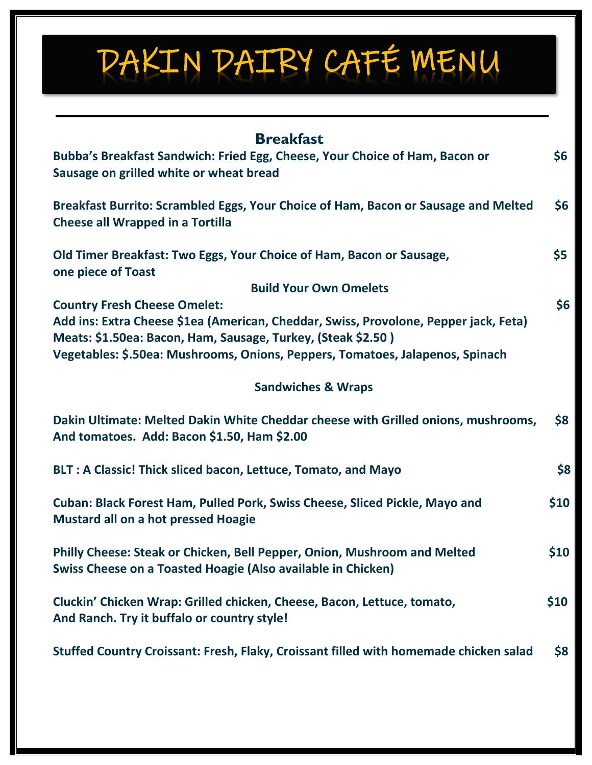## DAKIN DAIRY CAFÉ MENU

| <b>Breakfast</b>                                                                                                                                     |      |
|------------------------------------------------------------------------------------------------------------------------------------------------------|------|
| Bubba's Breakfast Sandwich: Fried Egg, Cheese, Your Choice of Ham, Bacon or<br>Sausage on grilled white or wheat bread                               | \$6  |
| Breakfast Burrito: Scrambled Eggs, Your Choice of Ham, Bacon or Sausage and Melted<br><b>Cheese all Wrapped in a Tortilla</b>                        | \$6  |
| Old Timer Breakfast: Two Eggs, Your Choice of Ham, Bacon or Sausage,<br>one piece of Toast                                                           | \$5  |
| <b>Build Your Own Omelets</b>                                                                                                                        |      |
| <b>Country Fresh Cheese Omelet:</b>                                                                                                                  | \$6  |
| Add ins: Extra Cheese \$1ea (American, Cheddar, Swiss, Provolone, Pepper jack, Feta)<br>Meats: \$1.50ea: Bacon, Ham, Sausage, Turkey, (Steak \$2.50) |      |
| Vegetables: \$.50ea: Mushrooms, Onions, Peppers, Tomatoes, Jalapenos, Spinach                                                                        |      |
| <b>Sandwiches &amp; Wraps</b>                                                                                                                        |      |
| Dakin Ultimate: Melted Dakin White Cheddar cheese with Grilled onions, mushrooms,<br>And tomatoes. Add: Bacon \$1.50, Ham \$2.00                     | \$8  |
| BLT: A Classic! Thick sliced bacon, Lettuce, Tomato, and Mayo                                                                                        | \$8  |
| Cuban: Black Forest Ham, Pulled Pork, Swiss Cheese, Sliced Pickle, Mayo and<br><b>Mustard all on a hot pressed Hoagie</b>                            | \$10 |
| Philly Cheese: Steak or Chicken, Bell Pepper, Onion, Mushroom and Melted<br>Swiss Cheese on a Toasted Hoagie (Also available in Chicken)             | \$10 |
| Cluckin' Chicken Wrap: Grilled chicken, Cheese, Bacon, Lettuce, tomato,<br>And Ranch. Try it buffalo or country style!                               | \$10 |
| Stuffed Country Croissant: Fresh, Flaky, Croissant filled with homemade chicken salad                                                                | \$8  |